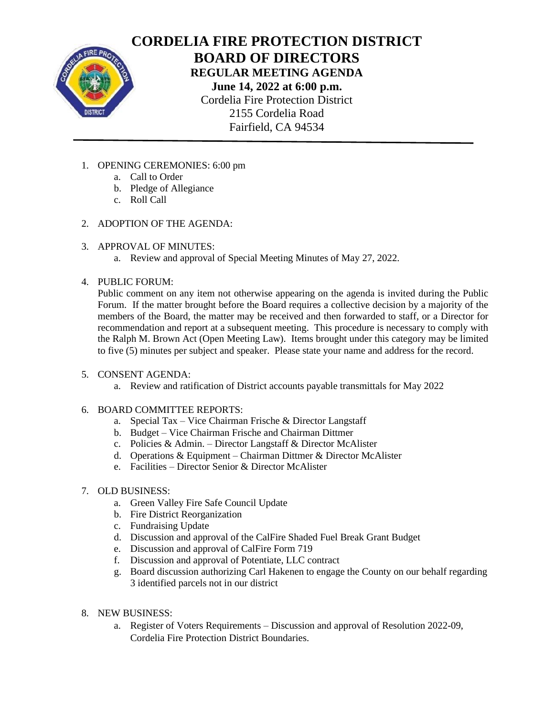

# **CORDELIA FIRE PROTECTION DISTRICT BOARD OF DIRECTORS REGULAR MEETING AGENDA June 14, 2022 at 6:00 p.m.** Cordelia Fire Protection District 2155 Cordelia Road Fairfield, CA 94534

- 1. OPENING CEREMONIES: 6:00 pm
	- a. Call to Order
	- b. Pledge of Allegiance
	- c. Roll Call
- 2. ADOPTION OF THE AGENDA:
- 3. APPROVAL OF MINUTES:
	- a. Review and approval of Special Meeting Minutes of May 27, 2022.
- 4. PUBLIC FORUM:

Public comment on any item not otherwise appearing on the agenda is invited during the Public Forum. If the matter brought before the Board requires a collective decision by a majority of the members of the Board, the matter may be received and then forwarded to staff, or a Director for recommendation and report at a subsequent meeting. This procedure is necessary to comply with the Ralph M. Brown Act (Open Meeting Law). Items brought under this category may be limited to five (5) minutes per subject and speaker. Please state your name and address for the record.

- 5. CONSENT AGENDA:
	- a. Review and ratification of District accounts payable transmittals for May 2022
- 6. BOARD COMMITTEE REPORTS:
	- a. Special Tax Vice Chairman Frische & Director Langstaff
	- b. Budget Vice Chairman Frische and Chairman Dittmer
	- c. Policies & Admin. Director Langstaff & Director McAlister
	- d. Operations & Equipment Chairman Dittmer & Director McAlister
	- e. Facilities Director Senior & Director McAlister
- 7. OLD BUSINESS:
	- a. Green Valley Fire Safe Council Update
	- b. Fire District Reorganization
	- c. Fundraising Update
	- d. Discussion and approval of the CalFire Shaded Fuel Break Grant Budget
	- e. Discussion and approval of CalFire Form 719
	- f. Discussion and approval of Potentiate, LLC contract
	- g. Board discussion authorizing Carl Hakenen to engage the County on our behalf regarding 3 identified parcels not in our district
- 8. NEW BUSINESS:
	- a. Register of Voters Requirements Discussion and approval of Resolution 2022-09, Cordelia Fire Protection District Boundaries.